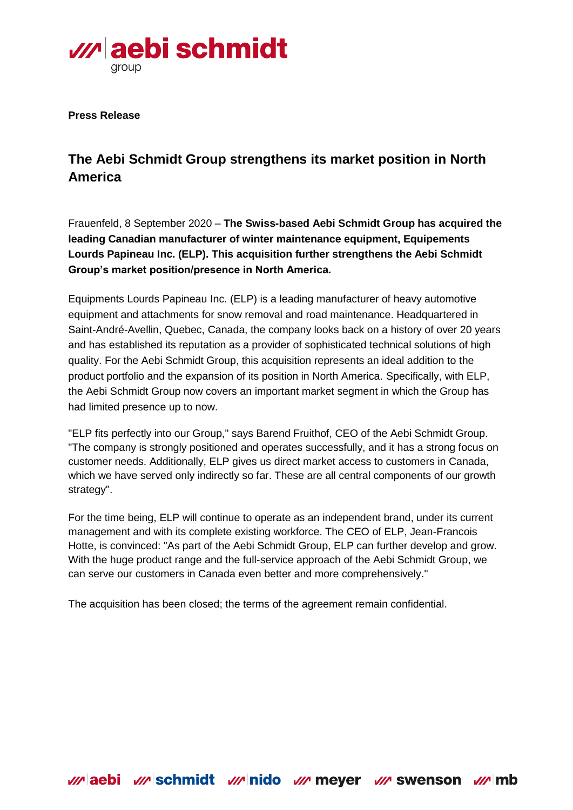

**Press Release**

## **The Aebi Schmidt Group strengthens its market position in North America**

Frauenfeld, 8 September 2020 – **The Swiss-based Aebi Schmidt Group has acquired the leading Canadian manufacturer of winter maintenance equipment, Equipements Lourds Papineau Inc. (ELP). This acquisition further strengthens the Aebi Schmidt Group's market position/presence in North America.** 

Equipments Lourds Papineau Inc. (ELP) is a leading manufacturer of heavy automotive equipment and attachments for snow removal and road maintenance. Headquartered in Saint-André-Avellin, Quebec, Canada, the company looks back on a history of over 20 years and has established its reputation as a provider of sophisticated technical solutions of high quality. For the Aebi Schmidt Group, this acquisition represents an ideal addition to the product portfolio and the expansion of its position in North America. Specifically, with ELP, the Aebi Schmidt Group now covers an important market segment in which the Group has had limited presence up to now.

"ELP fits perfectly into our Group," says Barend Fruithof, CEO of the Aebi Schmidt Group. "The company is strongly positioned and operates successfully, and it has a strong focus on customer needs. Additionally, ELP gives us direct market access to customers in Canada, which we have served only indirectly so far. These are all central components of our growth strategy".

For the time being, ELP will continue to operate as an independent brand, under its current management and with its complete existing workforce. The CEO of ELP, Jean-Francois Hotte, is convinced: "As part of the Aebi Schmidt Group, ELP can further develop and grow. With the huge product range and the full-service approach of the Aebi Schmidt Group, we can serve our customers in Canada even better and more comprehensively."

The acquisition has been closed; the terms of the agreement remain confidential.